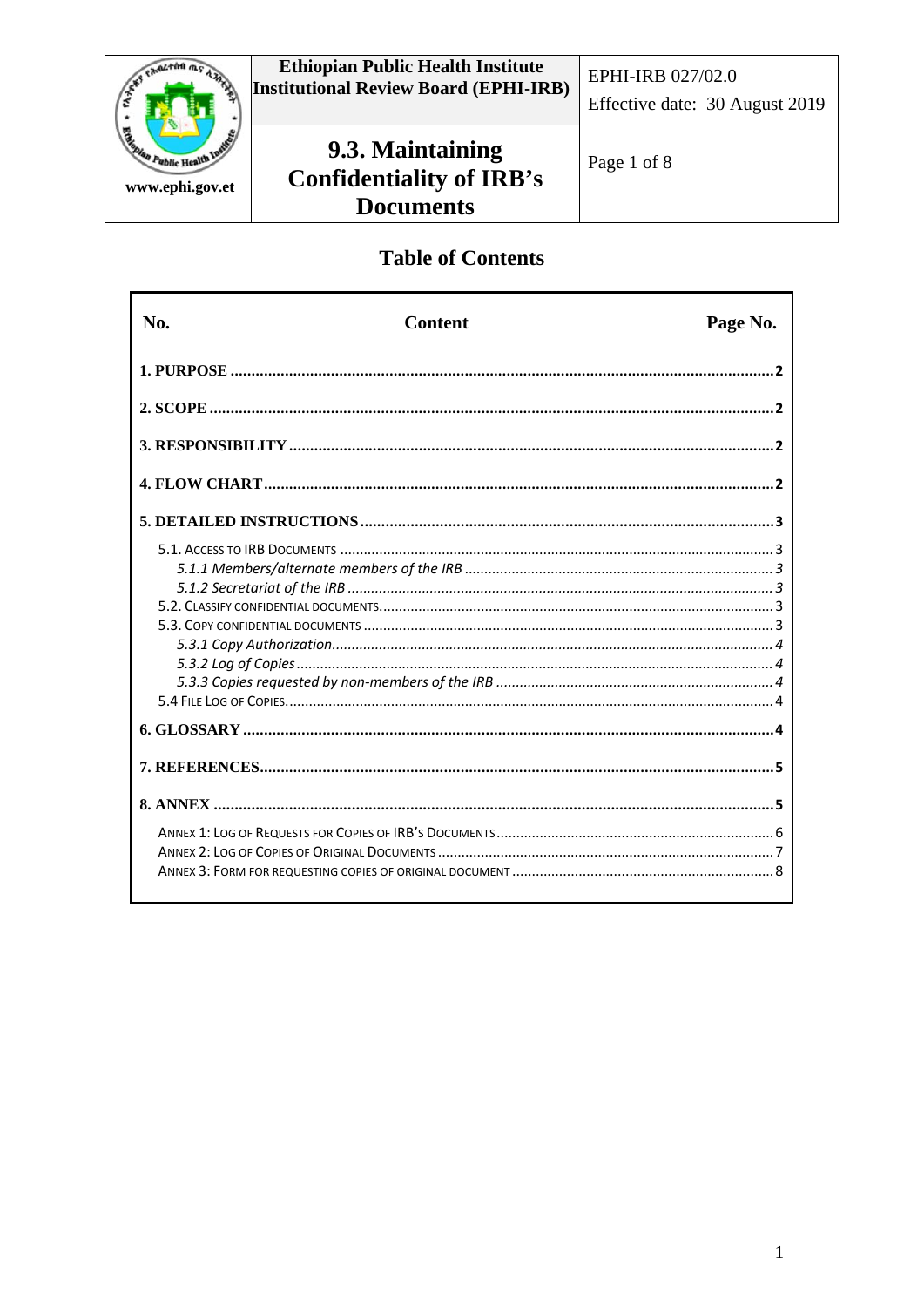

# **Table of Contents**

| No. | <b>Content</b> | Page No. |
|-----|----------------|----------|
|     |                |          |
|     |                |          |
|     |                |          |
|     |                |          |
|     |                |          |
|     |                |          |
|     |                |          |
|     |                |          |
|     |                | . 5      |
|     |                |          |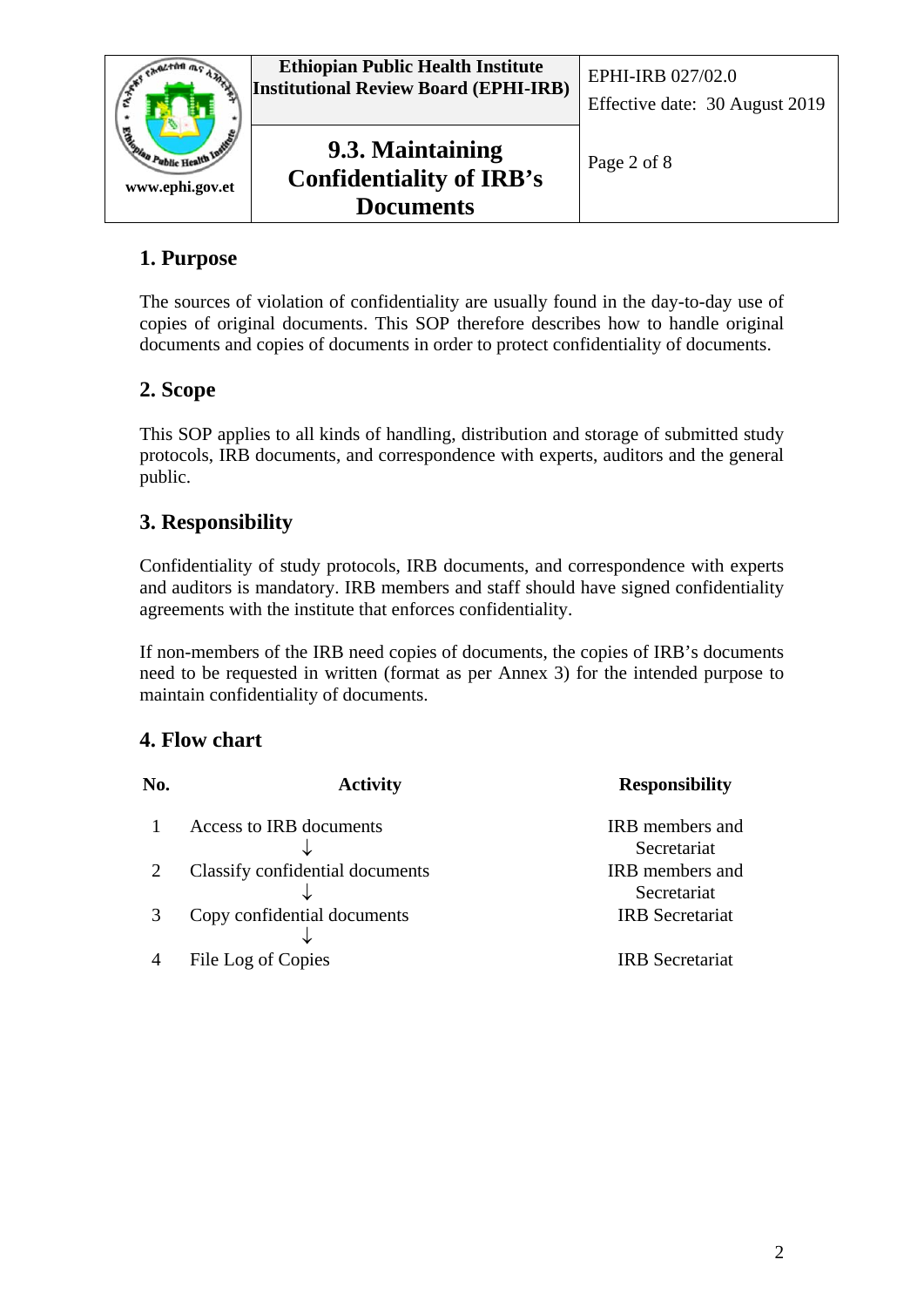

# **1. Purpose**

The sources of violation of confidentiality are usually found in the day-to-day use of copies of original documents. This SOP therefore describes how to handle original documents and copies of documents in order to protect confidentiality of documents.

## **2. Scope**

This SOP applies to all kinds of handling, distribution and storage of submitted study protocols, IRB documents, and correspondence with experts, auditors and the general public.

## **3. Responsibility**

Confidentiality of study protocols, IRB documents, and correspondence with experts and auditors is mandatory. IRB members and staff should have signed confidentiality agreements with the institute that enforces confidentiality.

If non-members of the IRB need copies of documents, the copies of IRB's documents need to be requested in written (format as per Annex 3) for the intended purpose to maintain confidentiality of documents.

### **4. Flow chart**

| No. | <b>Activity</b>                 | <b>Responsibility</b>  |
|-----|---------------------------------|------------------------|
|     | Access to IRB documents         | IRB members and        |
|     |                                 | Secretariat            |
|     | Classify confidential documents | <b>IRB</b> members and |
|     |                                 | Secretariat            |
|     | Copy confidential documents     | <b>IRB</b> Secretariat |
|     |                                 |                        |
|     | File Log of Copies              | <b>IRB</b> Secretariat |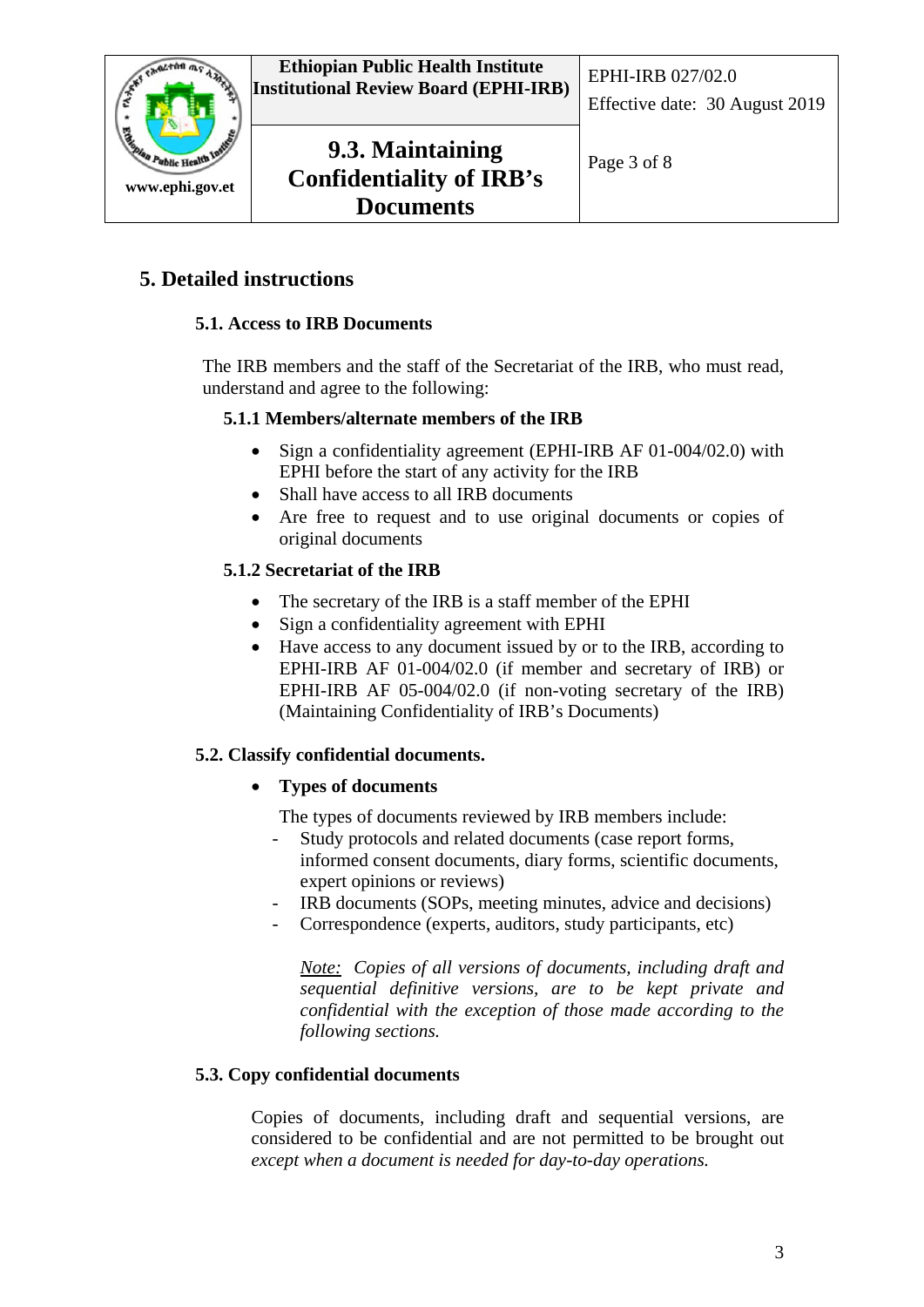

# **5. Detailed instructions**

### **5.1. Access to IRB Documents**

The IRB members and the staff of the Secretariat of the IRB, who must read, understand and agree to the following:

#### **5.1.1 Members/alternate members of the IRB**

- Sign a confidentiality agreement (EPHI-IRB AF 01-004/02.0) with EPHI before the start of any activity for the IRB
- Shall have access to all IRB documents
- Are free to request and to use original documents or copies of original documents

### **5.1.2 Secretariat of the IRB**

- The secretary of the IRB is a staff member of the EPHI
- Sign a confidentiality agreement with EPHI
- Have access to any document issued by or to the IRB, according to EPHI-IRB AF 01-004/02.0 (if member and secretary of IRB) or EPHI-IRB AF 05-004/02.0 (if non-voting secretary of the IRB) (Maintaining Confidentiality of IRB's Documents)

#### **5.2. Classify confidential documents.**

### • **Types of documents**

The types of documents reviewed by IRB members include:

- Study protocols and related documents (case report forms, informed consent documents, diary forms, scientific documents, expert opinions or reviews)
- IRB documents (SOPs, meeting minutes, advice and decisions)
- Correspondence (experts, auditors, study participants, etc)

*Note: Copies of all versions of documents, including draft and sequential definitive versions, are to be kept private and confidential with the exception of those made according to the following sections.*

### **5.3. Copy confidential documents**

Copies of documents, including draft and sequential versions, are considered to be confidential and are not permitted to be brought out *except when a document is needed for day-to-day operations.*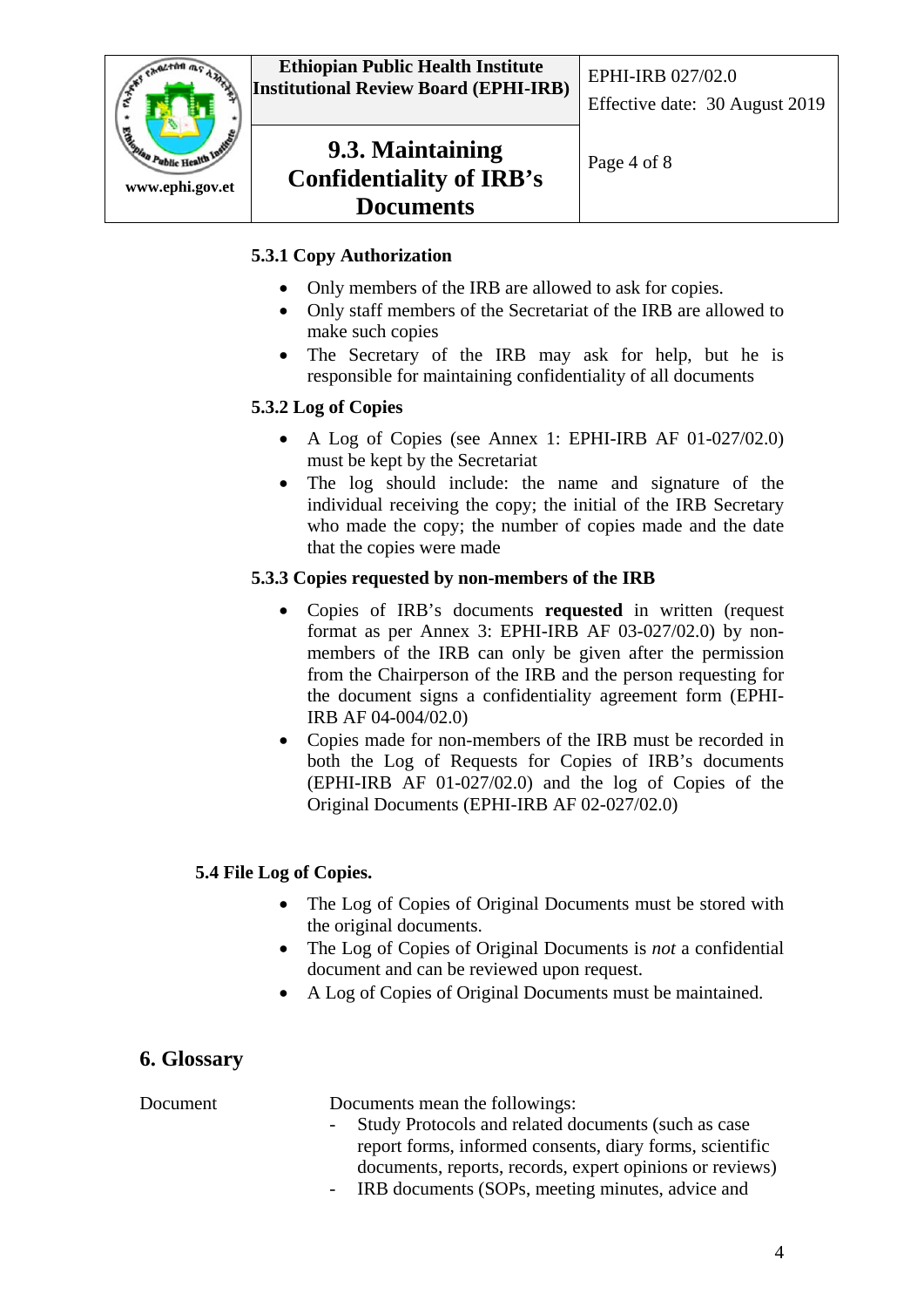

### **5.3.1 Copy Authorization**

- Only members of the IRB are allowed to ask for copies.
- Only staff members of the Secretariat of the IRB are allowed to make such copies
- The Secretary of the IRB may ask for help, but he is responsible for maintaining confidentiality of all documents

#### **5.3.2 Log of Copies**

- A Log of Copies (see Annex 1: EPHI-IRB AF 01-027/02.0) must be kept by the Secretariat
- The log should include: the name and signature of the individual receiving the copy; the initial of the IRB Secretary who made the copy; the number of copies made and the date that the copies were made

#### **5.3.3 Copies requested by non-members of the IRB**

- Copies of IRB's documents **requested** in written (request format as per Annex 3: EPHI-IRB AF 03-027/02.0) by nonmembers of the IRB can only be given after the permission from the Chairperson of the IRB and the person requesting for the document signs a confidentiality agreement form (EPHI-IRB AF 04-004/02.0)
- Copies made for non-members of the IRB must be recorded in both the Log of Requests for Copies of IRB's documents (EPHI-IRB AF 01-027/02.0) and the log of Copies of the Original Documents (EPHI-IRB AF 02-027/02.0)

#### **5.4 File Log of Copies.**

- The Log of Copies of Original Documents must be stored with the original documents.
- The Log of Copies of Original Documents is *not* a confidential document and can be reviewed upon request.
- A Log of Copies of Original Documents must be maintained.

### **6. Glossary**

| Document | Documents mean the followings:                           |
|----------|----------------------------------------------------------|
|          | - Study Protocols and related documents (such as case    |
|          | report forms, informed consents, diary forms, scientific |
|          | documents, reports, records, expert opinions or reviews) |
|          | - IRB documents (SOPs, meeting minutes, advice and       |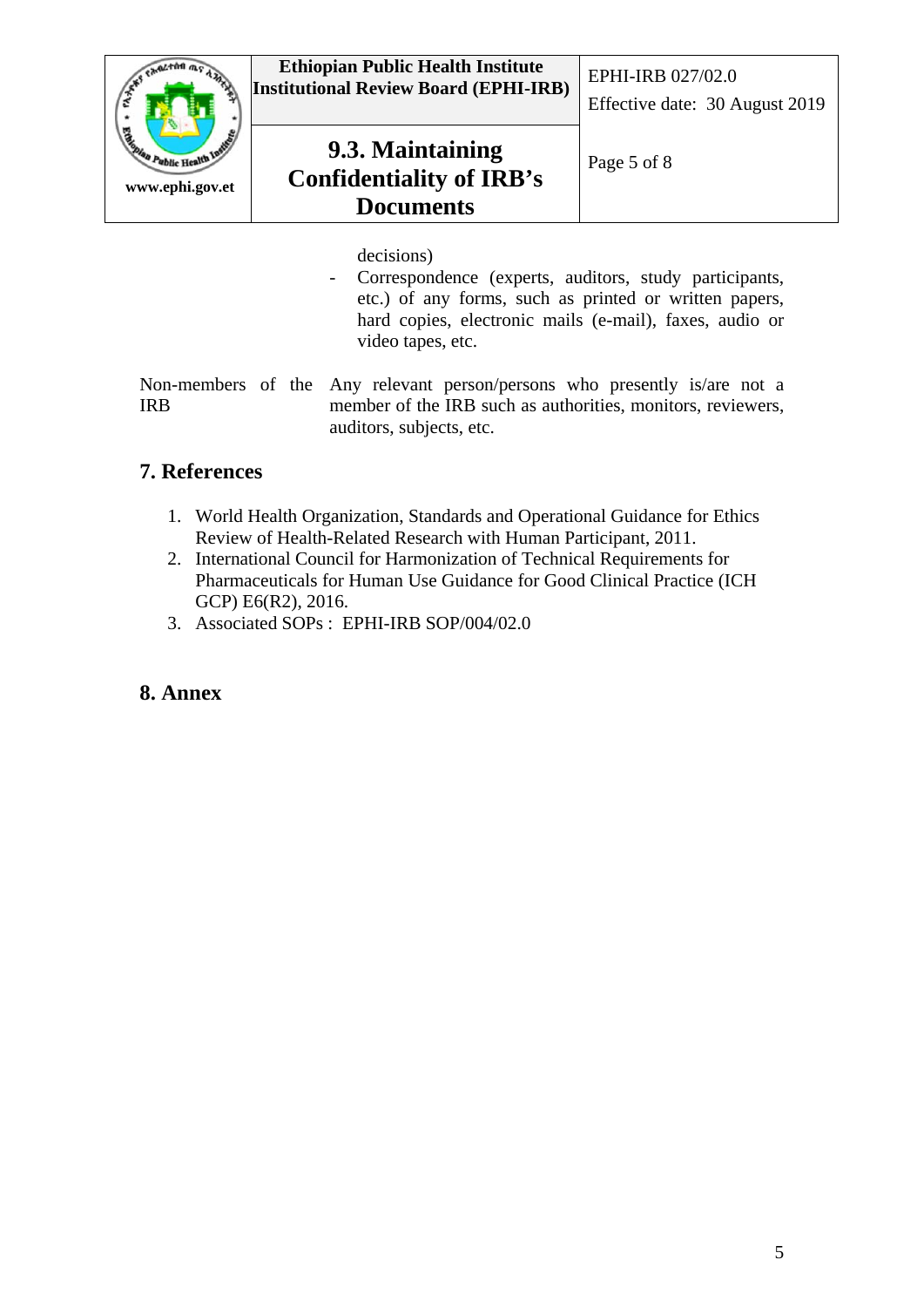

decisions)

- Correspondence (experts, auditors, study participants, etc.) of any forms, such as printed or written papers, hard copies, electronic mails (e-mail), faxes, audio or video tapes, etc.

Non-members of the Any relevant person/persons who presently is/are not a IRB member of the IRB such as authorities, monitors, reviewers, auditors, subjects, etc.

## **7. References**

- 1. World Health Organization, Standards and Operational Guidance for Ethics Review of Health-Related Research with Human Participant, 2011.
- 2. International Council for Harmonization of Technical Requirements for Pharmaceuticals for Human Use Guidance for Good Clinical Practice (ICH GCP) E6(R2), 2016.
- 3. Associated SOPs : EPHI-IRB SOP/004/02.0

### **8. Annex**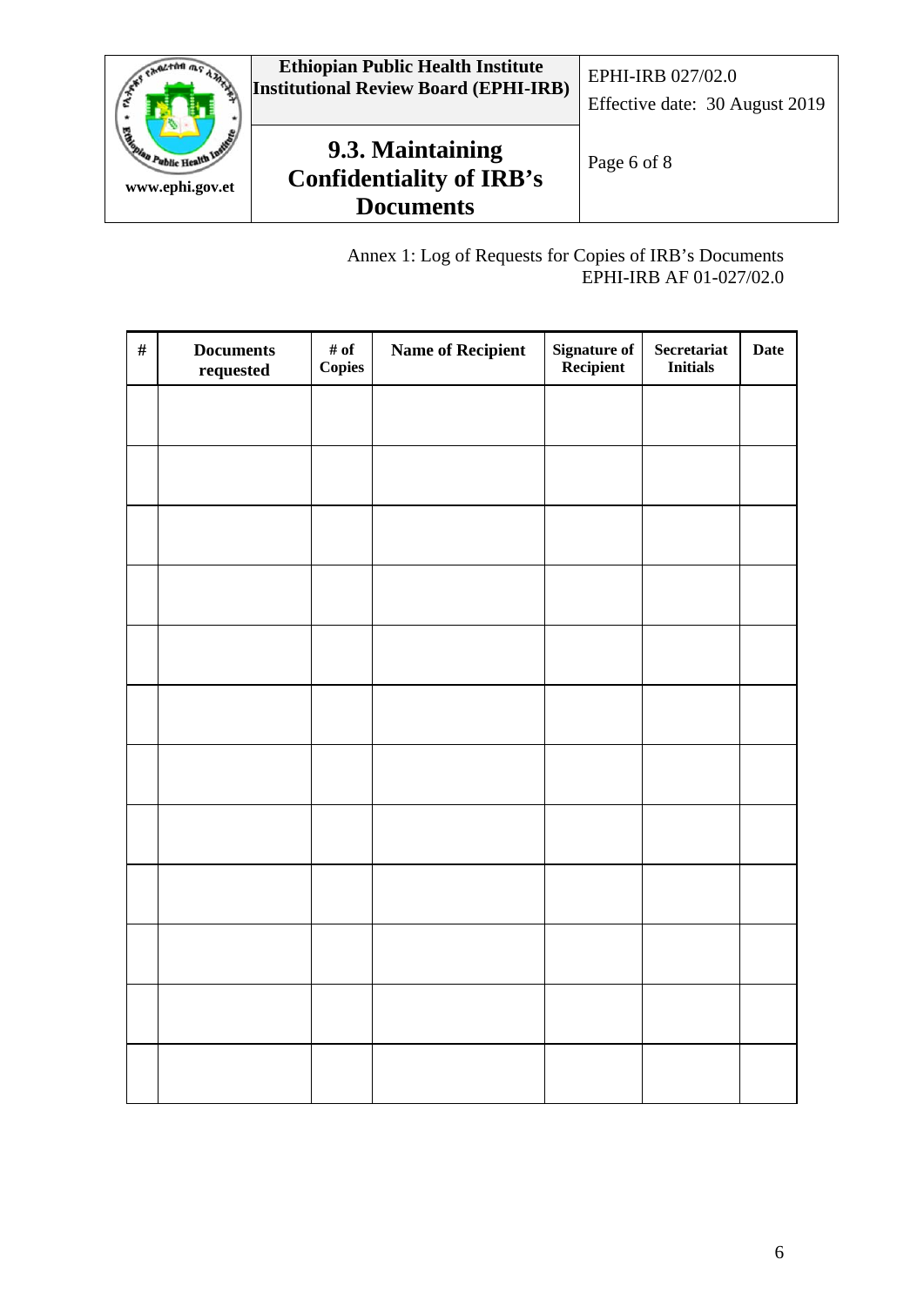

Annex 1: Log of Requests for Copies of IRB's Documents EPHI-IRB AF 01-027/02.0

| $\#$ | <b>Documents</b><br>requested | # of<br>Copies | <b>Name of Recipient</b> | Signature of<br>Recipient | <b>Secretariat</b><br><b>Initials</b> | <b>Date</b> |
|------|-------------------------------|----------------|--------------------------|---------------------------|---------------------------------------|-------------|
|      |                               |                |                          |                           |                                       |             |
|      |                               |                |                          |                           |                                       |             |
|      |                               |                |                          |                           |                                       |             |
|      |                               |                |                          |                           |                                       |             |
|      |                               |                |                          |                           |                                       |             |
|      |                               |                |                          |                           |                                       |             |
|      |                               |                |                          |                           |                                       |             |
|      |                               |                |                          |                           |                                       |             |
|      |                               |                |                          |                           |                                       |             |
|      |                               |                |                          |                           |                                       |             |
|      |                               |                |                          |                           |                                       |             |
|      |                               |                |                          |                           |                                       |             |
|      |                               |                |                          |                           |                                       |             |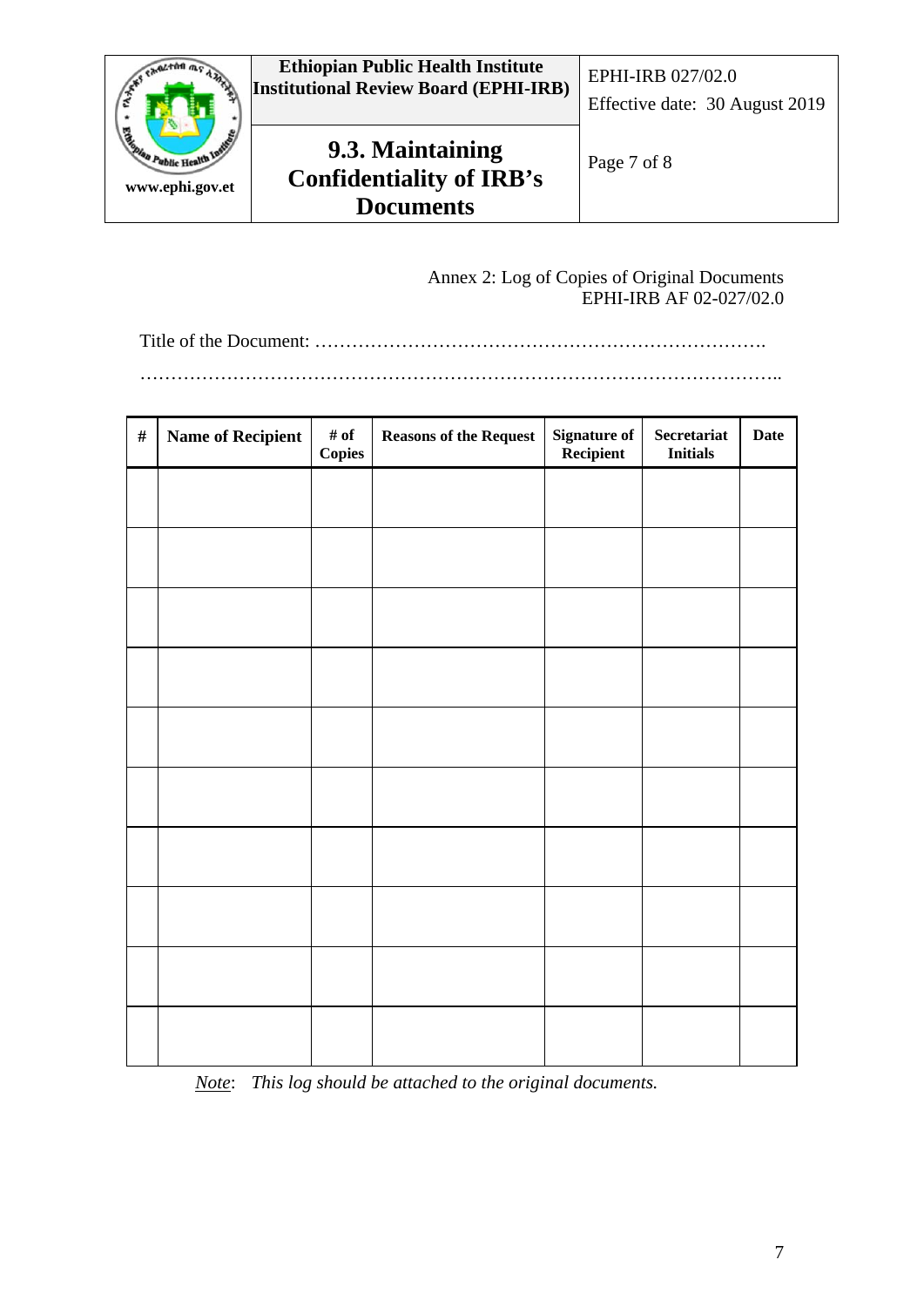

Annex 2: Log of Copies of Original Documents EPHI-IRB AF 02-027/02.0

Title of the Document: ……………………………………………………………….

…………………………………………………………………………………………..

| $\#$ | <b>Name of Recipient</b> | # of<br><b>Copies</b> | <b>Reasons of the Request</b> | <b>Signature of</b><br>Recipient | Secretariat<br><b>Initials</b> | <b>Date</b> |
|------|--------------------------|-----------------------|-------------------------------|----------------------------------|--------------------------------|-------------|
|      |                          |                       |                               |                                  |                                |             |
|      |                          |                       |                               |                                  |                                |             |
|      |                          |                       |                               |                                  |                                |             |
|      |                          |                       |                               |                                  |                                |             |
|      |                          |                       |                               |                                  |                                |             |
|      |                          |                       |                               |                                  |                                |             |
|      |                          |                       |                               |                                  |                                |             |
|      |                          |                       |                               |                                  |                                |             |
|      |                          |                       |                               |                                  |                                |             |
|      |                          |                       |                               |                                  |                                |             |
|      |                          |                       |                               |                                  |                                |             |

*Note*: *This log should be attached to the original documents.*